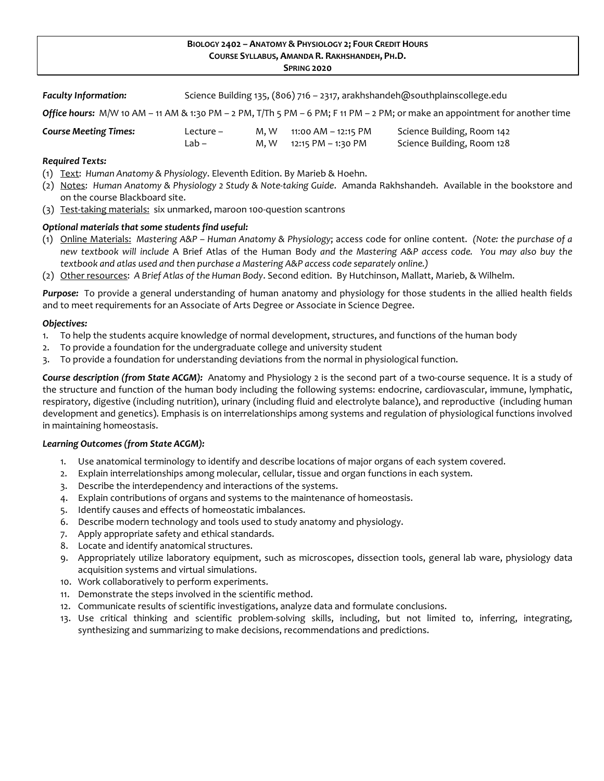# **BIOLOGY 2402 – ANATOMY & PHYSIOLOGY 2; FOUR CREDIT HOURS COURSE SYLLABUS, AMANDA R. RAKHSHANDEH, PH.D.**

**SPRING 2020**

| <b>Faculty Information:</b> |  | Science Building 135, (806) 716 - 2317, arakhshandeh@southplainscollege.edu |
|-----------------------------|--|-----------------------------------------------------------------------------|
|                             |  |                                                                             |

*Office hours:* M/W 10 AM – 11 AM & 1:30 PM – 2 PM, T/Th 5 PM – 6 PM; F 11 PM – 2 PM; or make an appointment for another time

| <b>Course Meeting Times:</b> | Lecture – | M.W | 11:00 AM – 12:15 PM     | Science Building, Room 142 |
|------------------------------|-----------|-----|-------------------------|----------------------------|
|                              | Lab –     |     | M, W 12:15 PM – 1:30 PM | Science Building, Room 128 |

# *Required Texts:*

- (1) Text: *Human Anatomy & Physiology*. Eleventh Edition. By Marieb & Hoehn.
- (2) Notes: *Human Anatomy & Physiology 2 Study & Note-taking Guide*. Amanda Rakhshandeh. Available in the bookstore and on the course Blackboard site.
- (3) Test-taking materials: six unmarked, maroon 100-question scantrons

# *Optional materials that some students find useful:*

- (1) Online Materials: *Mastering A&P – Human Anatomy & Physiology*; access code for online content. *(Note: the purchase of a new textbook will include* A Brief Atlas of the Human Body *and the Mastering A&P access code. You may also buy the textbook and atlas used and then purchase a Mastering A&P access code separately online.)*
- (2) Other resources: *A Brief Atlas of the Human Body*. Second edition. By Hutchinson, Mallatt, Marieb, & Wilhelm.

*Purpose:* To provide a general understanding of human anatomy and physiology for those students in the allied health fields and to meet requirements for an Associate of Arts Degree or Associate in Science Degree.

### *Objectives:*

- 1. To help the students acquire knowledge of normal development, structures, and functions of the human body
- 2. To provide a foundation for the undergraduate college and university student
- 3. To provide a foundation for understanding deviations from the normal in physiological function.

*Course description (from State ACGM):* Anatomy and Physiology 2 is the second part of a two-course sequence. It is a study of the structure and function of the human body including the following systems: endocrine, cardiovascular, immune, lymphatic, respiratory, digestive (including nutrition), urinary (including fluid and electrolyte balance), and reproductive (including human development and genetics). Emphasis is on interrelationships among systems and regulation of physiological functions involved in maintaining homeostasis.

### *Learning Outcomes (from State ACGM):*

- 1. Use anatomical terminology to identify and describe locations of major organs of each system covered.
- 2. Explain interrelationships among molecular, cellular, tissue and organ functions in each system.
- 3. Describe the interdependency and interactions of the systems.
- 4. Explain contributions of organs and systems to the maintenance of homeostasis.
- 5. Identify causes and effects of homeostatic imbalances.
- 6. Describe modern technology and tools used to study anatomy and physiology.
- 7. Apply appropriate safety and ethical standards.
- 8. Locate and identify anatomical structures.
- 9. Appropriately utilize laboratory equipment, such as microscopes, dissection tools, general lab ware, physiology data acquisition systems and virtual simulations.
- 10. Work collaboratively to perform experiments.
- 11. Demonstrate the steps involved in the scientific method.
- 12. Communicate results of scientific investigations, analyze data and formulate conclusions.
- 13. Use critical thinking and scientific problem-solving skills, including, but not limited to, inferring, integrating, synthesizing and summarizing to make decisions, recommendations and predictions.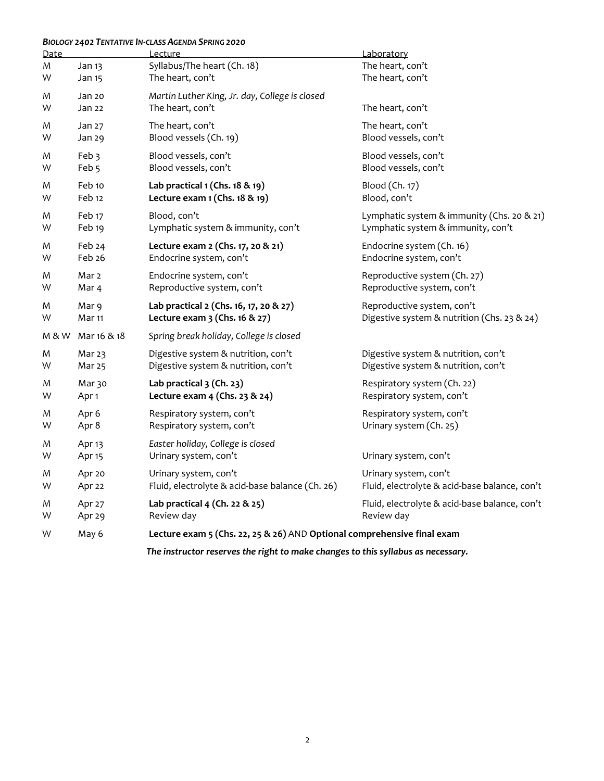# *BIOLOGY 2402 TENTATIVE IN-CLASS AGENDA SPRING 2020*

| <b>Date</b> |                   | Lecture                                                                          | Laboratory                                    |
|-------------|-------------------|----------------------------------------------------------------------------------|-----------------------------------------------|
| M           | Jan 13            | Syllabus/The heart (Ch. 18)                                                      | The heart, con't                              |
| W           | Jan 15            | The heart, con't                                                                 | The heart, con't                              |
| M           | Jan 20            | Martin Luther King, Jr. day, College is closed                                   | The heart, con't                              |
| W           | Jan 22            | The heart, con't                                                                 |                                               |
| M           | Jan 27            | The heart, con't                                                                 | The heart, con't                              |
| W           | Jan 29            | Blood vessels (Ch. 19)                                                           | Blood vessels, con't                          |
| M           | Feb 3             | Blood vessels, con't                                                             | Blood vessels, con't                          |
| W           | Feb <sub>5</sub>  | Blood vessels, con't                                                             | Blood vessels, con't                          |
| M           | Feb 10            | Lab practical 1 (Chs. 18 & 19)                                                   | Blood (Ch. 17)                                |
| W           | Feb 12            | Lecture exam 1 (Chs. 18 & 19)                                                    | Blood, con't                                  |
| M           | Feb <sub>17</sub> | Blood, con't                                                                     | Lymphatic system & immunity (Chs. 20 & 21)    |
| W           | Feb <sub>19</sub> | Lymphatic system & immunity, con't                                               | Lymphatic system & immunity, con't            |
| M           | Feb 24            | Lecture exam 2 (Chs. 17, 20 & 21)                                                | Endocrine system (Ch. 16)                     |
| W           | Feb 26            | Endocrine system, con't                                                          | Endocrine system, con't                       |
| M           | Mar <sub>2</sub>  | Endocrine system, con't                                                          | Reproductive system (Ch. 27)                  |
| W           | Mar 4             | Reproductive system, con't                                                       | Reproductive system, con't                    |
| M           | Mar 9             | Lab practical 2 (Chs. 16, 17, 20 & 27)                                           | Reproductive system, con't                    |
| W           | Mar 11            | Lecture exam 3 (Chs. 16 & 27)                                                    | Digestive system & nutrition (Chs. 23 & 24)   |
| M & W       | Mar 16 & 18       | Spring break holiday, College is closed                                          |                                               |
| M           | Mar 23            | Digestive system & nutrition, con't                                              | Digestive system & nutrition, con't           |
| W           | Mar 25            | Digestive system & nutrition, con't                                              | Digestive system & nutrition, con't           |
| M           | Mar 30            | Lab practical 3 (Ch. 23)                                                         | Respiratory system (Ch. 22)                   |
| W           | Apr 1             | Lecture exam 4 (Chs. 23 & 24)                                                    | Respiratory system, con't                     |
| M           | Apr 6             | Respiratory system, con't                                                        | Respiratory system, con't                     |
| W           | Apr 8             | Respiratory system, con't                                                        | Urinary system (Ch. 25)                       |
| M           | Apr 13            | Easter holiday, College is closed                                                | Urinary system, con't                         |
| W           | Apr <sub>15</sub> | Urinary system, con't                                                            |                                               |
| M           | Apr 20            | Urinary system, con't                                                            | Urinary system, con't                         |
| W           | Apr 22            | Fluid, electrolyte & acid-base balance (Ch. 26)                                  | Fluid, electrolyte & acid-base balance, con't |
| M           | Apr 27            | Lab practical 4 (Ch. 22 & 25)                                                    | Fluid, electrolyte & acid-base balance, con't |
| W           | Apr 29            | Review day                                                                       | Review day                                    |
| W           | May 6             | Lecture exam 5 (Chs. 22, 25 & 26) AND Optional comprehensive final exam          |                                               |
|             |                   | The instructor reserves the right to make changes to this syllabus as necessary. |                                               |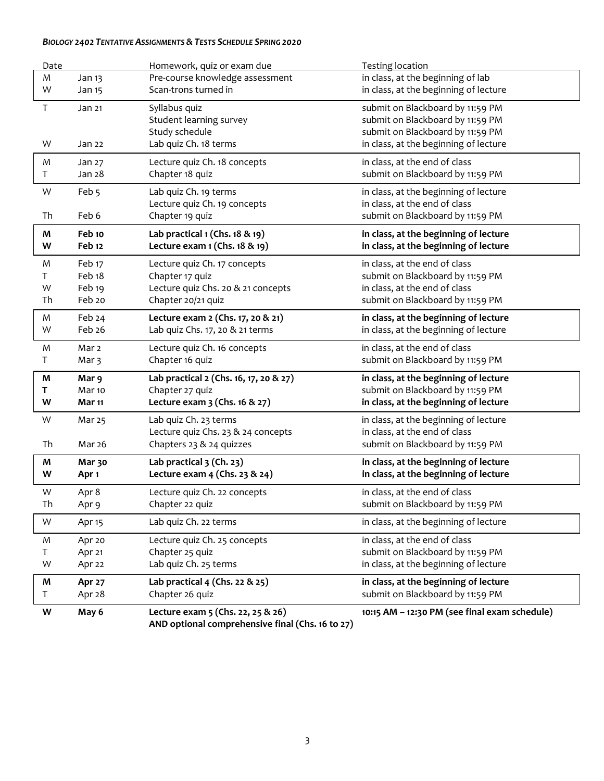# *BIOLOGY 2402 TENTATIVE ASSIGNMENTS & TESTS SCHEDULE SPRING 2020*

| Date        |                   | Homework, quiz or exam due                       | <b>Testing location</b>                       |
|-------------|-------------------|--------------------------------------------------|-----------------------------------------------|
| M           | Jan 13            | Pre-course knowledge assessment                  | in class, at the beginning of lab             |
| W           | Jan 15            | Scan-trons turned in                             | in class, at the beginning of lecture         |
| $\mathsf T$ | Jan 21            | Syllabus quiz                                    | submit on Blackboard by 11:59 PM              |
|             |                   | Student learning survey                          | submit on Blackboard by 11:59 PM              |
|             |                   | Study schedule                                   | submit on Blackboard by 11:59 PM              |
| W           | Jan 22            | Lab quiz Ch. 18 terms                            | in class, at the beginning of lecture         |
| M           | Jan 27            | Lecture quiz Ch. 18 concepts                     | in class, at the end of class                 |
| T.          | Jan 28            | Chapter 18 quiz                                  | submit on Blackboard by 11:59 PM              |
| W           | Feb <sub>5</sub>  | Lab quiz Ch. 19 terms                            | in class, at the beginning of lecture         |
|             |                   | Lecture quiz Ch. 19 concepts                     | in class, at the end of class                 |
| Th          | Feb 6             | Chapter 19 quiz                                  | submit on Blackboard by 11:59 PM              |
| M           | Feb 10            | Lab practical $1$ (Chs. $18$ & $19$ )            | in class, at the beginning of lecture         |
| W           | Feb <sub>12</sub> | Lecture exam 1 (Chs. 18 & 19)                    | in class, at the beginning of lecture         |
| M           | Feb 17            | Lecture quiz Ch. 17 concepts                     | in class, at the end of class                 |
| Τ           | Feb <sub>18</sub> | Chapter 17 quiz                                  | submit on Blackboard by 11:59 PM              |
| W           | Feb <sub>19</sub> | Lecture quiz Chs. 20 & 21 concepts               | in class, at the end of class                 |
| Th          | Feb 20            | Chapter 20/21 quiz                               | submit on Blackboard by 11:59 PM              |
| M           | Feb 24            | Lecture exam 2 (Chs. 17, 20 & 21)                | in class, at the beginning of lecture         |
| W           | Feb 26            | Lab quiz Chs. 17, 20 & 21 terms                  | in class, at the beginning of lecture         |
| M           | Mar <sub>2</sub>  | Lecture quiz Ch. 16 concepts                     | in class, at the end of class                 |
| Τ           | Mar <sub>3</sub>  | Chapter 16 quiz                                  | submit on Blackboard by 11:59 PM              |
| M           | Mar 9             | Lab practical 2 (Chs. 16, 17, 20 & 27)           | in class, at the beginning of lecture         |
| Τ           | Mar <sub>10</sub> | Chapter 27 quiz                                  | submit on Blackboard by 11:59 PM              |
| W           | Mar 11            | Lecture exam 3 (Chs. 16 & 27)                    | in class, at the beginning of lecture         |
| W           | Mar 25            | Lab quiz Ch. 23 terms                            | in class, at the beginning of lecture         |
|             |                   | Lecture quiz Chs. 23 & 24 concepts               | in class, at the end of class                 |
| Th          | Mar 26            | Chapters 23 & 24 quizzes                         | submit on Blackboard by 11:59 PM              |
| M           | Mar 30            | Lab practical 3 (Ch. 23)                         | in class, at the beginning of lecture         |
| W           | Apr 1             | Lecture exam 4 (Chs. 23 & 24)                    | in class, at the beginning of lecture         |
| W           | Apr 8             | Lecture quiz Ch. 22 concepts                     | in class, at the end of class                 |
| Th          | Apr 9             | Chapter 22 quiz                                  | submit on Blackboard by 11:59 PM              |
| W           | Apr <sub>15</sub> | Lab quiz Ch. 22 terms                            | in class, at the beginning of lecture         |
| M           | Apr 20            | Lecture quiz Ch. 25 concepts                     | in class, at the end of class                 |
| T.          | Apr 21            | Chapter 25 quiz                                  | submit on Blackboard by 11:59 PM              |
| W           | Apr 22            | Lab quiz Ch. 25 terms                            | in class, at the beginning of lecture         |
| Μ           | <b>Apr 27</b>     | Lab practical 4 (Chs. 22 & 25)                   | in class, at the beginning of lecture         |
| T.          | Apr 28            | Chapter 26 quiz                                  | submit on Blackboard by 11:59 PM              |
| W           | May 6             | Lecture exam 5 (Chs. 22, 25 & 26)                | 10:15 AM - 12:30 PM (see final exam schedule) |
|             |                   | AND optional comprehensive final (Chs. 16 to 27) |                                               |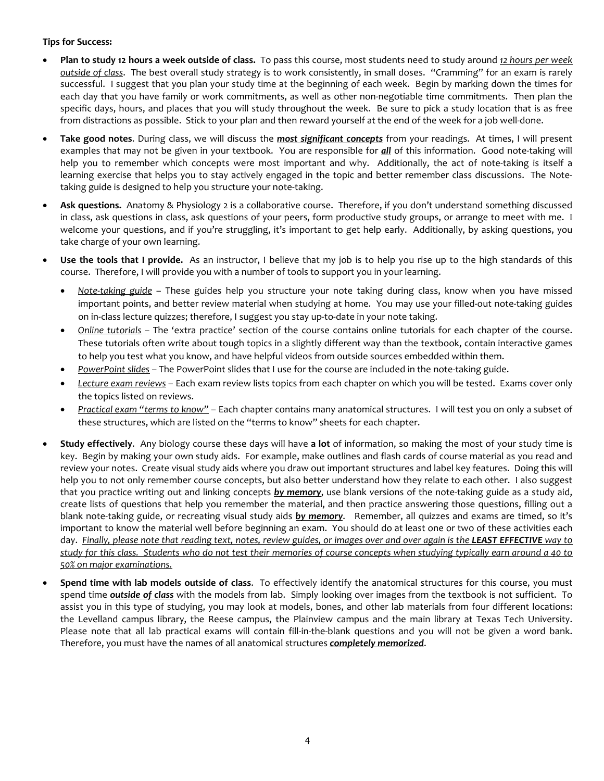# **Tips for Success:**

- **Plan to study 12 hours a week outside of class.** To pass this course, most students need to study around *12 hours per week outside of class*. The best overall study strategy is to work consistently, in small doses. "Cramming" for an exam is rarely successful. I suggest that you plan your study time at the beginning of each week. Begin by marking down the times for each day that you have family or work commitments, as well as other non-negotiable time commitments. Then plan the specific days, hours, and places that you will study throughout the week. Be sure to pick a study location that is as free from distractions as possible. Stick to your plan and then reward yourself at the end of the week for a job well-done.
- **Take good notes**. During class, we will discuss the *most significant concepts* from your readings. At times, I will present examples that may not be given in your textbook. You are responsible for *all* of this information. Good note-taking will help you to remember which concepts were most important and why. Additionally, the act of note-taking is itself a learning exercise that helps you to stay actively engaged in the topic and better remember class discussions. The Notetaking guide is designed to help you structure your note-taking.
- **Ask questions.** Anatomy & Physiology 2 is a collaborative course. Therefore, if you don't understand something discussed in class, ask questions in class, ask questions of your peers, form productive study groups, or arrange to meet with me. I welcome your questions, and if you're struggling, it's important to get help early. Additionally, by asking questions, you take charge of your own learning.
- **Use the tools that I provide.** As an instructor, I believe that my job is to help you rise up to the high standards of this course. Therefore, I will provide you with a number of tools to support you in your learning.
	- *Note-taking guide* These guides help you structure your note taking during class, know when you have missed important points, and better review material when studying at home. You may use your filled-out note-taking guides on in-class lecture quizzes; therefore, I suggest you stay up-to-date in your note taking.
	- *Online tutorials* The 'extra practice' section of the course contains online tutorials for each chapter of the course. These tutorials often write about tough topics in a slightly different way than the textbook, contain interactive games to help you test what you know, and have helpful videos from outside sources embedded within them.
	- *PowerPoint slides* The PowerPoint slides that I use for the course are included in the note-taking guide.
	- *Lecture exam reviews* Each exam review lists topics from each chapter on which you will be tested. Exams cover only the topics listed on reviews.
	- *Practical exam "terms to know"* Each chapter contains many anatomical structures. I will test you on only a subset of these structures, which are listed on the "terms to know" sheets for each chapter.
- **Study effectively**. Any biology course these days will have **a lot** of information, so making the most of your study time is key. Begin by making your own study aids. For example, make outlines and flash cards of course material as you read and review your notes. Create visual study aids where you draw out important structures and label key features. Doing this will help you to not only remember course concepts, but also better understand how they relate to each other. I also suggest that you practice writing out and linking concepts *by memory*, use blank versions of the note-taking guide as a study aid, create lists of questions that help you remember the material, and then practice answering those questions, filling out a blank note-taking guide, or recreating visual study aids *by memory*. Remember, all quizzes and exams are timed, so it's important to know the material well before beginning an exam. You should do at least one or two of these activities each day. *Finally, please note that reading text, notes, review guides, or images over and over again is the LEAST EFFECTIVE way to study for this class. Students who do not test their memories of course concepts when studying typically earn around a 40 to 50% on major examinations.*
- **Spend time with lab models outside of class**. To effectively identify the anatomical structures for this course, you must spend time *outside of class* with the models from lab. Simply looking over images from the textbook is not sufficient. To assist you in this type of studying, you may look at models, bones, and other lab materials from four different locations: the Levelland campus library, the Reese campus, the Plainview campus and the main library at Texas Tech University. Please note that all lab practical exams will contain fill-in-the-blank questions and you will not be given a word bank. Therefore, you must have the names of all anatomical structures *completely memorized*.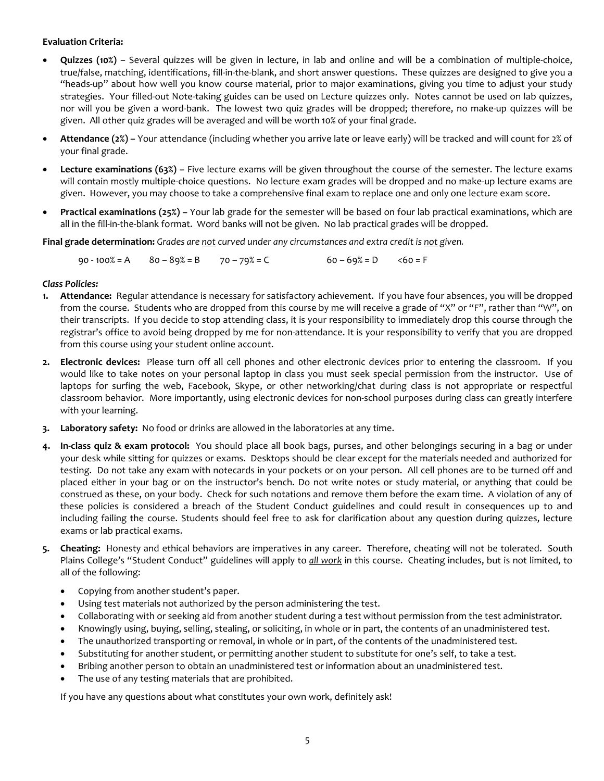# **Evaluation Criteria:**

- **Quizzes (10%)** Several quizzes will be given in lecture, in lab and online and will be a combination of multiple-choice, true/false, matching, identifications, fill-in-the-blank, and short answer questions. These quizzes are designed to give you a "heads-up" about how well you know course material, prior to major examinations, giving you time to adjust your study strategies. Your filled-out Note-taking guides can be used on Lecture quizzes only. Notes cannot be used on lab quizzes, nor will you be given a word-bank. The lowest two quiz grades will be dropped; therefore, no make-up quizzes will be given. All other quiz grades will be averaged and will be worth 10% of your final grade.
- **Attendance (2%) –** Your attendance (including whether you arrive late or leave early) will be tracked and will count for 2% of your final grade.
- **Lecture examinations (63%) –** Five lecture exams will be given throughout the course of the semester. The lecture exams will contain mostly multiple-choice questions. No lecture exam grades will be dropped and no make-up lecture exams are given. However, you may choose to take a comprehensive final exam to replace one and only one lecture exam score.
- **Practical examinations (25%) –** Your lab grade for the semester will be based on four lab practical examinations, which are all in the fill-in-the-blank format. Word banks will not be given. No lab practical grades will be dropped.

**Final grade determination:** *Grades are not curved under any circumstances and extra credit is not given.*

 $90 - 100\% = A$   $80 - 89\% = B$   $70 - 79\% = C$   $60 - 69\% = D$   $60 = F$ 

### *Class Policies:*

- **1. Attendance:** Regular attendance is necessary for satisfactory achievement. If you have four absences, you will be dropped from the course. Students who are dropped from this course by me will receive a grade of "X" or "F", rather than "W", on their transcripts. If you decide to stop attending class, it is your responsibility to immediately drop this course through the registrar's office to avoid being dropped by me for non-attendance. It is your responsibility to verify that you are dropped from this course using your student online account.
- **2. Electronic devices:** Please turn off all cell phones and other electronic devices prior to entering the classroom. If you would like to take notes on your personal laptop in class you must seek special permission from the instructor. Use of laptops for surfing the web, Facebook, Skype, or other networking/chat during class is not appropriate or respectful classroom behavior. More importantly, using electronic devices for non-school purposes during class can greatly interfere with your learning.
- **3. Laboratory safety:** No food or drinks are allowed in the laboratories at any time.
- **4. In-class quiz & exam protocol:** You should place all book bags, purses, and other belongings securing in a bag or under your desk while sitting for quizzes or exams. Desktops should be clear except for the materials needed and authorized for testing. Do not take any exam with notecards in your pockets or on your person. All cell phones are to be turned off and placed either in your bag or on the instructor's bench. Do not write notes or study material, or anything that could be construed as these, on your body. Check for such notations and remove them before the exam time. A violation of any of these policies is considered a breach of the Student Conduct guidelines and could result in consequences up to and including failing the course. Students should feel free to ask for clarification about any question during quizzes, lecture exams or lab practical exams.
- **5. Cheating:** Honesty and ethical behaviors are imperatives in any career. Therefore, cheating will not be tolerated. South Plains College's "Student Conduct" guidelines will apply to *all work* in this course. Cheating includes, but is not limited, to all of the following:
	- Copying from another student's paper.
	- Using test materials not authorized by the person administering the test.
	- Collaborating with or seeking aid from another student during a test without permission from the test administrator.
	- Knowingly using, buying, selling, stealing, or soliciting, in whole or in part, the contents of an unadministered test.
	- The unauthorized transporting or removal, in whole or in part, of the contents of the unadministered test.
	- Substituting for another student, or permitting another student to substitute for one's self, to take a test.
	- Bribing another person to obtain an unadministered test or information about an unadministered test.
	- The use of any testing materials that are prohibited.

If you have any questions about what constitutes your own work, definitely ask!